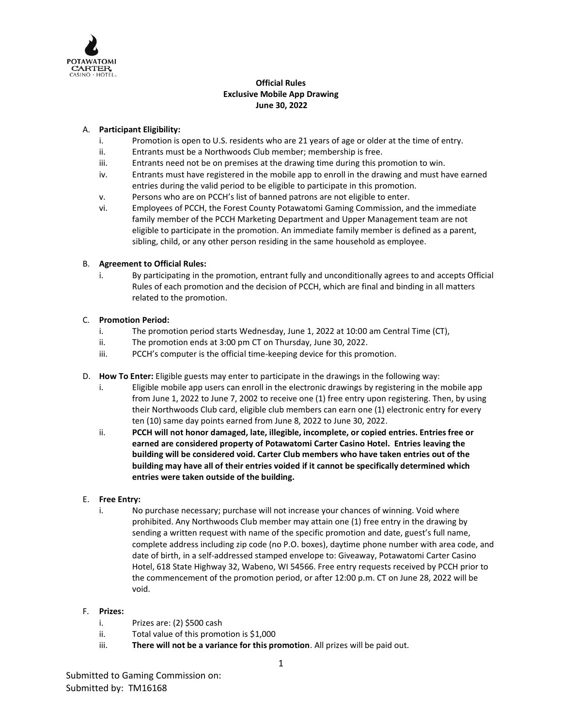

## **Official Rules Exclusive Mobile App Drawing June 30, 2022**

## A. **Participant Eligibility:**

- i. Promotion is open to U.S. residents who are 21 years of age or older at the time of entry.
- ii. Entrants must be a Northwoods Club member; membership is free.
- iii. Entrants need not be on premises at the drawing time during this promotion to win.
- iv. Entrants must have registered in the mobile app to enroll in the drawing and must have earned entries during the valid period to be eligible to participate in this promotion.
- v. Persons who are on PCCH's list of banned patrons are not eligible to enter.
- vi. Employees of PCCH, the Forest County Potawatomi Gaming Commission, and the immediate family member of the PCCH Marketing Department and Upper Management team are not eligible to participate in the promotion. An immediate family member is defined as a parent, sibling, child, or any other person residing in the same household as employee.

## B. **Agreement to Official Rules:**

i. By participating in the promotion, entrant fully and unconditionally agrees to and accepts Official Rules of each promotion and the decision of PCCH, which are final and binding in all matters related to the promotion.

## C. **Promotion Period:**

- i. The promotion period starts Wednesday, June 1, 2022 at 10:00 am Central Time (CT),
- ii. The promotion ends at 3:00 pm CT on Thursday, June 30, 2022.
- iii. PCCH's computer is the official time-keeping device for this promotion.
- D. **How To Enter:** Eligible guests may enter to participate in the drawings in the following way:
	- i. Eligible mobile app users can enroll in the electronic drawings by registering in the mobile app from June 1, 2022 to June 7, 2002 to receive one (1) free entry upon registering. Then, by using their Northwoods Club card, eligible club members can earn one (1) electronic entry for every ten (10) same day points earned from June 8, 2022 to June 30, 2022.
	- ii. **PCCH will not honor damaged, late, illegible, incomplete, or copied entries. Entries free or earned are considered property of Potawatomi Carter Casino Hotel. Entries leaving the building will be considered void. Carter Club members who have taken entries out of the building may have all of their entries voided if it cannot be specifically determined which entries were taken outside of the building.**

### E. **Free Entry:**

i. No purchase necessary; purchase will not increase your chances of winning. Void where prohibited. Any Northwoods Club member may attain one (1) free entry in the drawing by sending a written request with name of the specific promotion and date, guest's full name, complete address including zip code (no P.O. boxes), daytime phone number with area code, and date of birth, in a self-addressed stamped envelope to: Giveaway, Potawatomi Carter Casino Hotel, 618 State Highway 32, Wabeno, WI 54566. Free entry requests received by PCCH prior to the commencement of the promotion period, or after 12:00 p.m. CT on June 28, 2022 will be void.

### F. **Prizes:**

- i. Prizes are: (2) \$500 cash
- ii. Total value of this promotion is \$1,000
- iii. **There will not be a variance for this promotion**. All prizes will be paid out.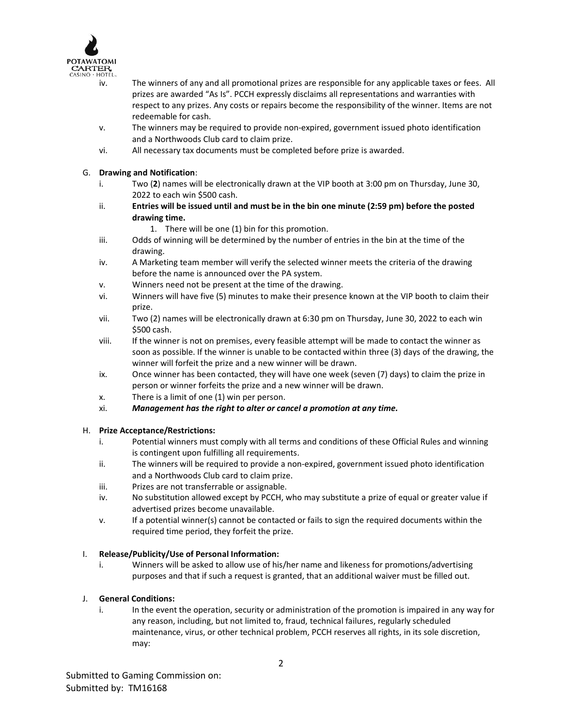

- iv. The winners of any and all promotional prizes are responsible for any applicable taxes or fees. All prizes are awarded "As Is". PCCH expressly disclaims all representations and warranties with respect to any prizes. Any costs or repairs become the responsibility of the winner. Items are not redeemable for cash.
- v. The winners may be required to provide non-expired, government issued photo identification and a Northwoods Club card to claim prize.
- vi. All necessary tax documents must be completed before prize is awarded.

## G. **Drawing and Notification**:

- i. Two (**2**) names will be electronically drawn at the VIP booth at 3:00 pm on Thursday, June 30, 2022 to each win \$500 cash.
- ii. **Entries will be issued until and must be in the bin one minute (2:59 pm) before the posted drawing time.** 
	- 1. There will be one (1) bin for this promotion.
- iii. Odds of winning will be determined by the number of entries in the bin at the time of the drawing.
- iv. A Marketing team member will verify the selected winner meets the criteria of the drawing before the name is announced over the PA system.
- v. Winners need not be present at the time of the drawing.
- vi. Winners will have five (5) minutes to make their presence known at the VIP booth to claim their prize.
- vii. Two (2) names will be electronically drawn at 6:30 pm on Thursday, June 30, 2022 to each win \$500 cash.
- viii. If the winner is not on premises, every feasible attempt will be made to contact the winner as soon as possible. If the winner is unable to be contacted within three (3) days of the drawing, the winner will forfeit the prize and a new winner will be drawn.
- ix. Once winner has been contacted, they will have one week (seven (7) days) to claim the prize in person or winner forfeits the prize and a new winner will be drawn.
- x. There is a limit of one (1) win per person.
- xi. *Management has the right to alter or cancel a promotion at any time.*

# H. **Prize Acceptance/Restrictions:**

- i. Potential winners must comply with all terms and conditions of these Official Rules and winning is contingent upon fulfilling all requirements.
- ii. The winners will be required to provide a non-expired, government issued photo identification and a Northwoods Club card to claim prize.
- iii. Prizes are not transferrable or assignable.
- iv. No substitution allowed except by PCCH, who may substitute a prize of equal or greater value if advertised prizes become unavailable.
- v. If a potential winner(s) cannot be contacted or fails to sign the required documents within the required time period, they forfeit the prize.

### I. **Release/Publicity/Use of Personal Information:**

i. Winners will be asked to allow use of his/her name and likeness for promotions/advertising purposes and that if such a request is granted, that an additional waiver must be filled out.

### J. **General Conditions:**

i. In the event the operation, security or administration of the promotion is impaired in any way for any reason, including, but not limited to, fraud, technical failures, regularly scheduled maintenance, virus, or other technical problem, PCCH reserves all rights, in its sole discretion, may: